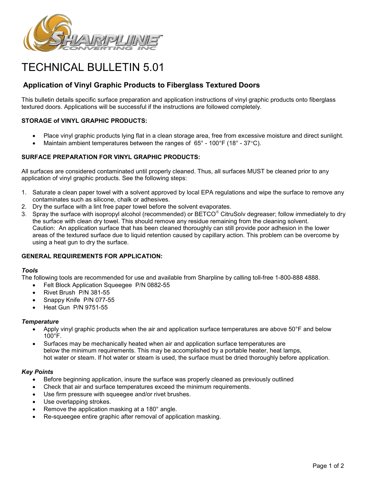

# TECHNICAL BULLETIN 5.01

# **Application of Vinyl Graphic Products to Fiberglass Textured Doors**

This bulletin details specific surface preparation and application instructions of vinyl graphic products onto fiberglass textured doors. Applications will be successful if the instructions are followed completely.

## **STORAGE of VINYL GRAPHIC PRODUCTS:**

- Place vinyl graphic products lying flat in a clean storage area, free from excessive moisture and direct sunlight.
- Maintain ambient temperatures between the ranges of  $65^{\circ}$  100 $^{\circ}$ F (18 $^{\circ}$  37 $^{\circ}$ C).

### **SURFACE PREPARATION FOR VINYL GRAPHIC PRODUCTS:**

All surfaces are considered contaminated until properly cleaned. Thus, all surfaces MUST be cleaned prior to any application of vinyl graphic products. See the following steps:

- 1. Saturate a clean paper towel with a solvent approved by local EPA regulations and wipe the surface to remove any contaminates such as silicone, chalk or adhesives.
- 2. Dry the surface with a lint free paper towel before the solvent evaporates.
- 3. Spray the surface with isopropyl alcohol (recommended) or BETCO® CitruSolv degreaser; follow immediately to dry the surface with clean dry towel. This should remove any residue remaining from the cleaning solvent. Caution: An application surface that has been cleaned thoroughly can still provide poor adhesion in the lower areas of the textured surface due to liquid retention caused by capillary action. This problem can be overcome by using a heat gun to dry the surface.

#### **GENERAL REQUIREMENTS FOR APPLICATION:**

#### *Tools*

The following tools are recommended for use and available from Sharpline by calling toll-free 1-800-888 4888.

- Felt Block Application Squeegee P/N 0882-55
- Rivet Brush P/N 381-55
- Snappy Knife P/N 077-55
- Heat Gun P/N 9751-55

#### *Temperature*

- Apply vinyl graphic products when the air and application surface temperatures are above 50°F and below  $100^{\circ}$ F.
- Surfaces may be mechanically heated when air and application surface temperatures are below the minimum requirements. This may be accomplished by a portable heater, heat lamps, hot water or steam. If hot water or steam is used, the surface must be dried thoroughly before application.

#### *Key Points*

- Before beginning application, insure the surface was properly cleaned as previously outlined
- Check that air and surface temperatures exceed the minimum requirements.
- Use firm pressure with squeegee and/or rivet brushes.
- Use overlapping strokes.
- Remove the application masking at a 180° angle.
- Re-squeegee entire graphic after removal of application masking.